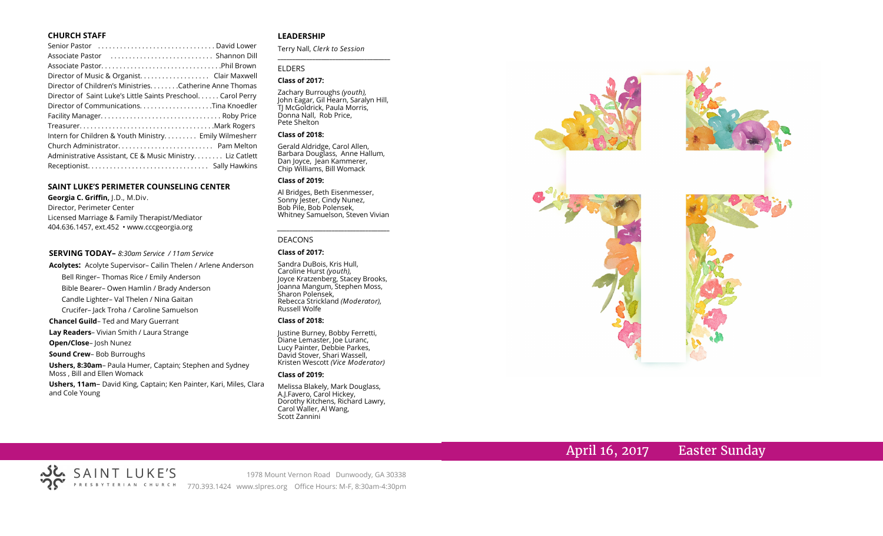## **CHURCH STAFF**

| Senior Pastor (and the content of the content of the senior Parid Lower                                |
|--------------------------------------------------------------------------------------------------------|
| Associate Pastor (Associate Pastor (Associate Pastor (Associate Pastor (Associate Pastor (Association) |
|                                                                                                        |
| Director of Music & Organist. Clair Maxwell                                                            |
| Director of Children's Ministries. Catherine Anne Thomas                                               |
| Director of Saint Luke's Little Saints Preschool Carol Perry                                           |
|                                                                                                        |
|                                                                                                        |
|                                                                                                        |
| Intern for Children & Youth Ministry Emily Wilmesherr                                                  |
|                                                                                                        |
| Administrative Assistant, CE & Music Ministry Liz Catlett                                              |
|                                                                                                        |

### **SAINT LUKE'S PERIMETER COUNSELING CENTER**

**Georgia C. Griffin,** J.D., M.Div. Director, Perimeter Center Licensed Marriage & Family Therapist/Mediator 404.636.1457, ext.452 • www.cccgeorgia.org

#### **SERVING TODAY–** *8:30am Service / 11am Service*

**Acolytes:** Acolyte Supervisor– Cailin Thelen / Arlene Anderson Bell Ringer– Thomas Rice / Emily Anderson

Bible Bearer– Owen Hamlin / Brady Anderson

Candle Lighter– Val Thelen / Nina Gaitan

Crucifer– Jack Troha / Caroline Samuelson

**Chancel Guild**– Ted and Mary Guerrant

**Lay Readers**– Vivian Smith / Laura Strange

**Open/Close**– Josh Nunez

### **Sound Crew**– Bob Burroughs

**Ushers, 8:30am**– Paula Humer, Captain; Stephen and Sydney Moss , Bill and Ellen Womack

**Ushers, 11am**– David King, Captain; Ken Painter, Kari, Miles, Clara and Cole Young

## **LEADERSHIP**

Terry Nall, *Clerk to Session* 

## ELDERS

### **Class of 2017:**

Zachary Burroughs *(youth),*  John Eagar, Gil Hearn, Saralyn Hill, TJ McGoldrick, Paula Morris, Donna Nall, Rob Price, Pete Shelton

**\_\_\_\_\_\_\_\_\_\_\_\_\_\_\_\_\_\_\_\_\_\_\_\_\_\_\_\_\_\_\_\_\_\_\_\_\_\_\_**

### **Class of 2018:**

Gerald Aldridge, Carol Allen, Barbara Douglass, Anne Hallum, Dan Joyce, Jean Kammerer, Chip Williams, Bill Womack

#### **Class of 2019:**

Al Bridges, Beth Eisenmesser, Sonny Jester, Cindy Nunez, Bob Pile, Bob Polensek, Whitney Samuelson, Steven Vivian

*\_\_\_\_\_\_\_\_\_\_\_\_\_\_\_\_\_\_\_\_\_\_\_\_\_\_\_\_\_\_\_\_\_\_\_\_\_*

## DEACONS

#### **Class of 2017:**

Sandra DuBois, Kris Hull, Caroline Hurst *(youth),* Joyce Kratzenberg, Stacey Brooks, Joanna Mangum, Stephen Moss, Sharon Polensek, Rebecca Strickland *(Moderator),*  Russell Wolfe

#### **Class of 2018:**

Justine Burney, Bobby Ferretti, Diane Lemaster, Joe Luranc, Lucy Painter, Debbie Parkes, David Stover, Shari Wassell, Kristen Wescott *(Vice Moderator)*

#### **Class of 2019:**

Melissa Blakely, Mark Douglass, A.J.Favero, Carol Hickey, Dorothy Kitchens, Richard Lawry, Carol Waller, Al Wang, Scott Zannini



# April 16, 2017 Easter Sunday

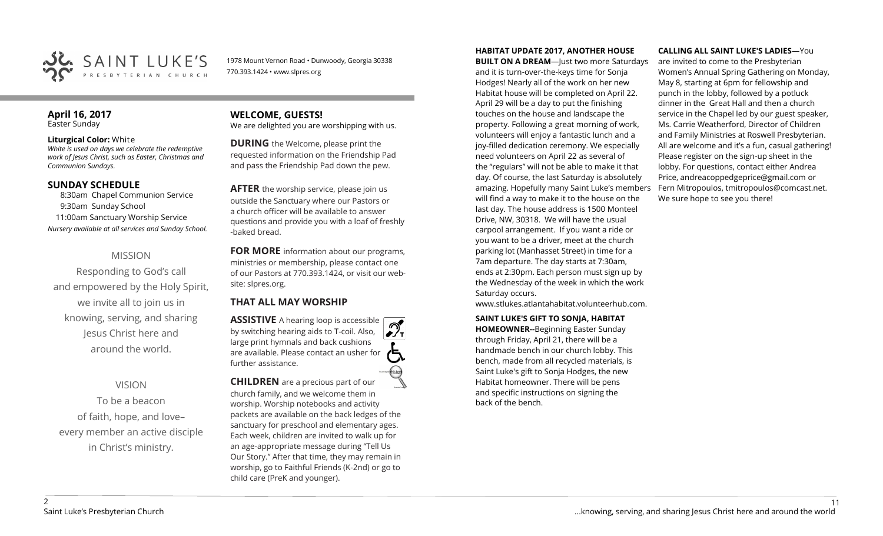

1978 Mount Vernon Road • Dunwoody, Georgia 30338 770.393.1424 • www.slpres.org

## **April 16, 2017**  Easter Sunday

## **Liturgical Color:** White

*White is used on days we celebrate the redemptive work of Jesus Christ, such as Easter, Christmas and Communion Sundays.*

# **SUNDAY SCHEDULE**

8:30am Chapel Communion Service 9:30am Sunday School 11:00am Sanctuary Worship Service *Nursery available at all services and Sunday School.*

# MISSION

Responding to God's call and empowered by the Holy Spirit, we invite all to join us in knowing, serving, and sharing Jesus Christ here and around the world.

# VISION

To be a beacon of faith, hope, and love– every member an active disciple in Christ's ministry.

**WELCOME, GUESTS!**  We are delighted you are worshipping with us.

**DURING** the Welcome, please print the requested information on the Friendship Pad and pass the Friendship Pad down the pew.

**AFTER** the worship service, please join us outside the Sanctuary where our Pastors or a church officer will be available to answer questions and provide you with a loaf of freshly -baked bread.

**FOR MORE** information about our programs, ministries or membership, please contact one of our Pastors at 770.393.1424, or visit our website: slpres.org.

# **THAT ALL MAY WORSHIP**

**ASSISTIVE** A hearing loop is accessible by switching hearing aids to T-coil. Also,  $\frac{1}{\sqrt{1}}$ large print hymnals and back cushions are available. Please contact an usher for further assistance.

**CHILDREN** are a precious part of our church family, and we welcome them in worship. Worship notebooks and activity packets are available on the back ledges of the sanctuary for preschool and elementary ages. Each week, children are invited to walk up for an age-appropriate message during "Tell Us Our Story." After that time, they may remain in worship, go to Faithful Friends (K-2nd) or go to child care (PreK and younger).

**HABITAT UPDATE 2017, ANOTHER HOUSE** 

**BUILT ON A DREAM**—Just two more Saturdays and it is turn-over-the-keys time for Sonja Hodges! Nearly all of the work on her new Habitat house will be completed on April 22. April 29 will be a day to put the finishing touches on the house and landscape the property. Following a great morning of work, volunteers will enjoy a fantastic lunch and a joy-filled dedication ceremony. We especially need volunteers on April 22 as several of the "regulars" will not be able to make it that day. Of course, the last Saturday is absolutely amazing. Hopefully many Saint Luke's members will find a way to make it to the house on the last day. The house address is 1500 Monteel Drive, NW, 30318. We will have the usual carpool arrangement. If you want a ride or you want to be a driver, meet at the church parking lot (Manhasset Street) in time for a 7am departure. The day starts at 7:30am, ends at 2:30pm. Each person must sign up by the Wednesday of the week in which the work Saturday occurs.

www.stlukes.atlantahabitat.volunteerhub.com.

**SAINT LUKE'S GIFT TO SONJA, HABITAT HOMEOWNER--**Beginning Easter Sunday through Friday, April 21, there will be a handmade bench in our church lobby. This bench, made from all recycled materials, is Saint Luke's gift to Sonja Hodges, the new Habitat homeowner. There will be pens and specific instructions on signing the back of the bench.

## **CALLING ALL SAINT LUKE'S LADIES**—You

are invited to come to the Presbyterian Women's Annual Spring Gathering on Monday, May 8, starting at 6pm for fellowship and punch in the lobby, followed by a potluck dinner in the Great Hall and then a church service in the Chapel led by our guest speaker, Ms. Carrie Weatherford, Director of Children and Family Ministries at Roswell Presbyterian. All are welcome and it's a fun, casual gathering! Please register on the sign-up sheet in the lobby. For questions, contact either Andrea Price, [andreacoppedgeprice@gmail.com](mailto:andreacoppedgeprice@gmail.com) or Fern Mitropoulos, [tmitropoulos@comcast.net.](mailto:tmitropoulos@comcast.net)  We sure hope to see you there!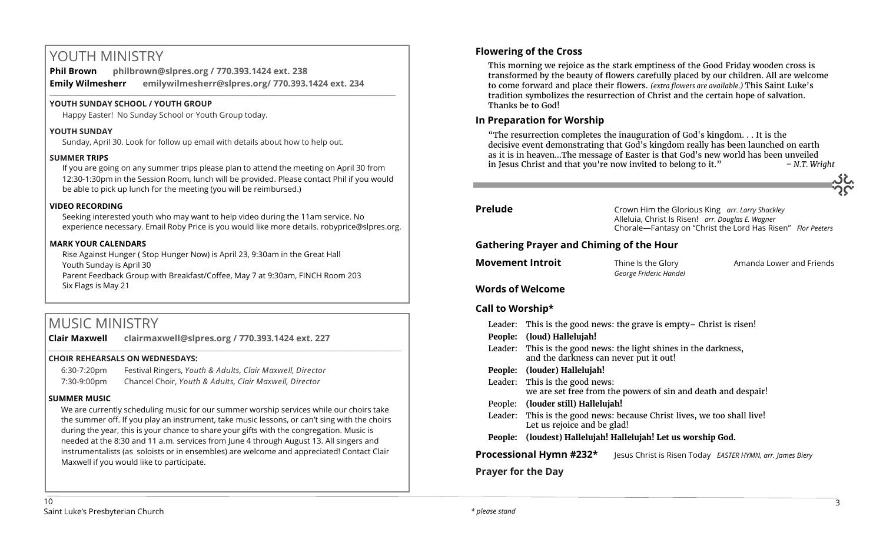# YOUTH MINISTRY

**Phil Brown philbrown@slpres.org / 770.393.1424 ext. 238 Emily Wilmesherr emilywilmesherr@slpres.org/ 770.393.1424 ext. 234**   $\_$  ,  $\_$  ,  $\_$  ,  $\_$  ,  $\_$  ,  $\_$  ,  $\_$  ,  $\_$  ,  $\_$  ,  $\_$  ,  $\_$  ,  $\_$  ,  $\_$  ,  $\_$  ,  $\_$  ,  $\_$  ,  $\_$  ,  $\_$  ,  $\_$  ,  $\_$ 

# **YOUTH SUNDAY SCHOOL / YOUTH GROUP**

Happy Easter! No Sunday School or Youth Group today.

# **YOUTH SUNDAY**

Sunday, April 30. Look for follow up email with details about how to help out.

# **SUMMER TRIPS**

If you are going on any summer trips please plan to attend the meeting on April 30 from 12:30-1:30pm in the Session Room, lunch will be provided. Please contact Phil if you would be able to pick up lunch for the meeting (you will be reimbursed.)

# **VIDEO RECORDING**

Seeking interested youth who may want to help video during the 11am service. No experience necessary. Email Roby Price is you would like more details. robyprice@slpres.org.

# **MARK YOUR CALENDARS**

Rise Against Hunger ( Stop Hunger Now) is April 23, 9:30am in the Great Hall Youth Sunday is April 30 Parent Feedback Group with Breakfast/Coffee, May 7 at 9:30am, FINCH Room 203 Six Flags is May 21

# MUSIC MINISTRY

**Clair Maxwell clairmaxwell@slpres.org / 770.393.1424 ext. 227**  \_\_\_\_\_\_\_\_\_\_\_\_\_\_\_\_\_\_\_\_\_\_\_\_\_\_\_\_\_\_\_\_\_\_\_\_\_\_\_\_\_\_\_\_\_\_\_\_\_\_\_\_\_\_\_\_\_\_\_\_\_\_\_\_\_\_\_\_\_\_\_\_\_\_\_\_\_\_\_\_\_\_\_\_\_\_\_\_\_\_\_\_\_\_\_\_\_\_\_\_

# **CHOIR REHEARSALS ON WEDNESDAYS:**

| 6:30-7:20pm | Festival Ringers, Youth & Adults, Clair Maxwell, Director |
|-------------|-----------------------------------------------------------|
| 7:30-9:00pm | Chancel Choir, Youth & Adults, Clair Maxwell, Director    |

# **SUMMER MUSIC**

We are currently scheduling music for our summer worship services while our choirs take the summer off. If you play an instrument, take music lessons, or can't sing with the choirs during the year, this is your chance to share your gifts with the congregation. Music is needed at the 8:30 and 11 a.m. services from June 4 through August 13. All singers and instrumentalists (as soloists or in ensembles) are welcome and appreciated! Contact Clair Maxwell if you would like to participate.

# **Flowering of the Cross**

This morning we rejoice as the stark emptiness of the Good Friday wooden cross is transformed by the beauty of flowers carefully placed by our children. All are welcome to come forward and place their flowers. *(extra flowers are available.)* This Saint Luke's tradition symbolizes the resurrection of Christ and the certain hope of salvation. Thanks be to God!

# **In Preparation for Worship**

"The resurrection completes the inauguration of God's kingdom. . . It is the decisive event demonstrating that God's kingdom really has been launched on earth as it is in heaven…The message of Easter is that God's new world has been unveiled in Jesus Christ and that you're now invited to belong to it." *– N.T. Wright*

**Prelude** Crown Him the Glorious King *arr. Larry Shackley* Alleluia, Christ Is Risen! *arr. Douglas E. Wagner*  Chorale—Fantasy on "Christ the Lord Has Risen" *Flor Peeters*

# **Gathering Prayer and Chiming of the Hour**

| <b>Movement Introit</b> | Thine Is the Glory     | Amanda Lower and Friends |
|-------------------------|------------------------|--------------------------|
|                         | George Frideric Handel |                          |

# **Words of Welcome**

# **Call to Worship\***

| Leader:                   | This is the good news: the grave is empty – Christ is risen!                                               |  |  |
|---------------------------|------------------------------------------------------------------------------------------------------------|--|--|
|                           | People: (loud) Hallelujah!                                                                                 |  |  |
|                           | Leader: This is the good news: the light shines in the darkness,<br>and the darkness can never put it out! |  |  |
|                           | People: (louder) Hallelujah!                                                                               |  |  |
|                           | Leader: This is the good news:<br>we are set free from the powers of sin and death and despair!            |  |  |
|                           | People: (louder still) Hallelujah!                                                                         |  |  |
|                           | Leader: This is the good news: because Christ lives, we too shall live!<br>Let us rejoice and be glad!     |  |  |
|                           | People: (loudest) Hallelujah! Hallelujah! Let us worship God.                                              |  |  |
|                           | Processional Hymn #232*<br>Jesus Christ is Risen Today EASTER HYMN, arr. James Biery                       |  |  |
| <b>Prayer for the Day</b> |                                                                                                            |  |  |
|                           |                                                                                                            |  |  |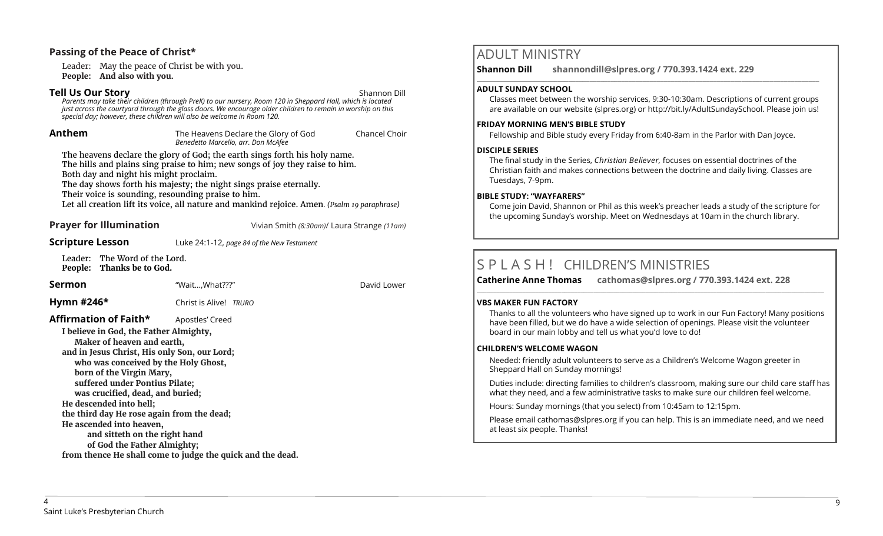# **Passing of the Peace of Christ\***

Leader: May the peace of Christ be with you. **People: And also with you.** 

# **Tell Us Our Story** Shannon Dill

*Parents may take their children (through PreK) to our nursery, Room 120 in Sheppard Hall, which is located just across the courtyard through the glass doors. We encourage older children to remain in worship on this special day; however, these children will also be welcome in Room 120.*

**Anthem** The Heavens Declare the Glory of God Chancel Choir *Benedetto Marcello, arr. Don McAfee* 

The heavens declare the glory of God; the earth sings forth his holy name. The hills and plains sing praise to him; new songs of joy they raise to him. Both day and night his might proclaim.

The day shows forth his majesty; the night sings praise eternally.

Their voice is sounding, resounding praise to him.

Let all creation lift its voice, all nature and mankind rejoice. Amen*. (Psalm 19 paraphrase)*

**Prayer for Illumination** Vivian Smith *(8:30am)*/ Laura Strange *(11am)*

# **Scripture Lesson** Luke 24:1-12, *page 84 of the New Testament*

Leader: The Word of the Lord. **People: Thanks be to God.**

## **Sermon** "Wait...,What???" **David Lower** David Lower

**Hymn #246\*** Christ is Alive! *TRURO*

# Affirmation of Faith\* Apostles' Creed

**I believe in God, the Father Almighty, Maker of heaven and earth, and in Jesus Christ, His only Son, our Lord; who was conceived by the Holy Ghost, born of the Virgin Mary, suffered under Pontius Pilate; was crucified, dead, and buried; He descended into hell; the third day He rose again from the dead; He ascended into heaven, and sitteth on the right hand of God the Father Almighty; from thence He shall come to judge the quick and the dead.**

# ADULT MINISTRY

**Shannon Dill shannondill@slpres.org / 770.393.1424 ext. 229** 

## **ADULT SUNDAY SCHOOL**

Classes meet between the worship services, 9:30-10:30am. Descriptions of current groups are available on our website (slpres.org) or http://bit.ly/AdultSundaySchool. Please join us!

 $\_$  ,  $\_$  ,  $\_$  ,  $\_$  ,  $\_$  ,  $\_$  ,  $\_$  ,  $\_$  ,  $\_$  ,  $\_$  ,  $\_$  ,  $\_$  ,  $\_$  ,  $\_$  ,  $\_$  ,  $\_$  ,  $\_$  ,  $\_$  ,  $\_$ 

## **FRIDAY MORNING MEN'S BIBLE STUDY**

Fellowship and Bible study every Friday from 6:40-8am in the Parlor with Dan Joyce.

# **DISCIPLE SERIES**

The final study in the Series, *Christian Believer,* focuses on essential doctrines of the Christian faith and makes connections between the doctrine and daily living. Classes are Tuesdays, 7-9pm.

## **BIBLE STUDY: "WAYFARERS"**

Come join David, Shannon or Phil as this week's preacher leads a study of the scripture for the upcoming Sunday's worship. Meet on Wednesdays at 10am in the church library.

# S P L A S H ! CHILDREN'S MINISTRIES

**Catherine Anne Thomas cathomas@slpres.org / 770.393.1424 ext. 228** 

## **VBS MAKER FUN FACTORY**

Thanks to all the volunteers who have signed up to work in our Fun Factory! Many positions have been filled, but we do have a wide selection of openings. Please visit the volunteer board in our main lobby and tell us what you'd love to do!

**\_\_\_\_\_\_\_\_\_\_\_\_\_\_\_\_\_\_\_\_\_\_\_\_\_\_\_\_\_\_\_\_\_\_\_\_\_\_\_\_\_\_\_\_\_\_\_\_\_\_\_\_\_\_\_\_\_\_\_\_\_\_\_\_\_\_\_\_\_\_\_\_\_\_\_\_\_\_\_\_\_\_\_\_\_\_\_\_\_\_\_\_\_\_\_\_\_\_\_\_\_\_\_\_\_\_\_** 

## **CHILDREN'S WELCOME WAGON**

Needed: friendly adult volunteers to serve as a Children's Welcome Wagon greeter in Sheppard Hall on Sunday mornings!

Duties include: directing families to children's classroom, making sure our child care staff has what they need, and a few administrative tasks to make sure our children feel welcome.

Hours: Sunday mornings (that you select) from 10:45am to 12:15pm.

Please email [cathomas@slpres.org](mailto:cathomas@slpres.org) if you can help. This is an immediate need, and we need at least six people. Thanks!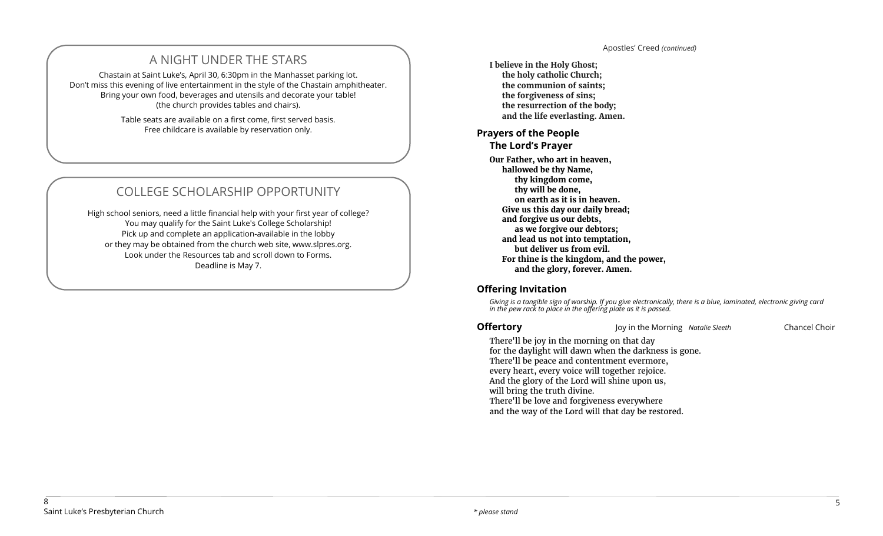# A NIGHT UNDER THE STARS

Chastain at Saint Luke's, April 30, 6:30pm in the Manhasset parking lot. Don't miss this evening of live entertainment in the style of the Chastain amphitheater. Bring your own food, beverages and utensils and decorate your table! (the church provides tables and chairs).

> Table seats are available on a first come, first served basis. Free childcare is available by reservation only.

# COLLEGE SCHOLARSHIP OPPORTUNITY

High school seniors, need a little financial help with your first year of college? You may qualify for the Saint Luke's College Scholarship! Pick up and complete an application-available in the lobby or they may be obtained from the church web site, www.slpres.org. Look under the Resources tab and scroll down to Forms. Deadline is May 7.

**I believe in the Holy Ghost; the holy catholic Church; the communion of saints; the forgiveness of sins; the resurrection of the body; and the life everlasting. Amen.**

# **Prayers of the People**

**The Lord's Prayer** 

**Our Father, who art in heaven, hallowed be thy Name, thy kingdom come, thy will be done, on earth as it is in heaven. Give us this day our daily bread; and forgive us our debts, as we forgive our debtors; and lead us not into temptation, but deliver us from evil. For thine is the kingdom, and the power, and the glory, forever. Amen.**

# **Offering Invitation**

*Giving is a tangible sign of worship. If you give electronically, there is a blue, laminated, electronic giving card in the pew rack to place in the offering plate as it is passed.*

**Offertory Chancel Choir** Joy in the Morning *Natalie Sleeth* Chancel Choir

There'll be joy in the morning on that day for the daylight will dawn when the darkness is gone. There'll be peace and contentment evermore, every heart, every voice will together rejoice. And the glory of the Lord will shine upon us, will bring the truth divine. There'll be love and forgiveness everywhere and the way of the Lord will that day be restored.